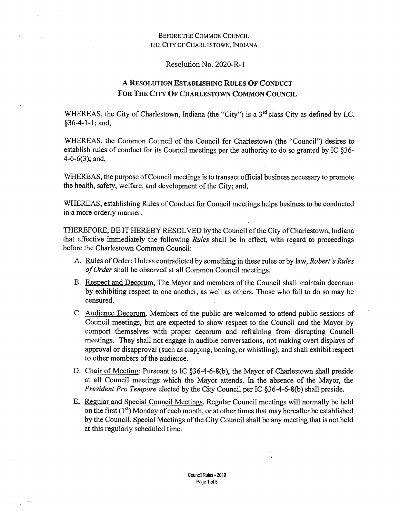## **Before the Common Council THE City of Charlestown, Indiana**

## Resolution No. 2020-R-l

## **A Resolution Establishing Rules Of Conduct For The City Of Charlestown Common Council**

WHEREAS, the City of Charlestown, Indiana (the "City") is a 3<sup>rd</sup> class City as defined by I.C. §36-4-1-1; and,

WHEREAS, the Common Council of the Council for Charlestown (the "Council") desires to establish rules of conduct for its Council meetings per the authority to do so granted by IC §36- 4-6-6(3); and,

WHEREAS, the purpose of Council meetings is to transact official business necessary to promote the health, safety, welfare, and development of the City; and,

WHEREAS, establishing Rules of Conduct for Council meetings helps business to be conducted in a more orderly manner.

THEREFORE, BE IT HEREBY RESOLVED by the Council of the City of Charlestown, Indiana that effective immediately the following *Rules* shall be in effect, with regard to proceedings before the Charlestown Common Council:

- A. Rules ofOrder: Unless contradicted by something in these rules or by law, *Robert's Rules ofOrder* shall be observed at all Common Council meetings.
- B. Respect and Decorum. The Mayor and members of the Council shall maintain decorum by exhibiting respect to one another, as well as others. Those who fail to do so may be censured. .
- C. Audience Decorum. Members of the public are welcomed to attend public sessions of Council meetings, but are expected to show respect to the Council and the Mayor by comport themselves with proper decorum and refraining from disrupting Council meetings. They shall not engage in audible conversations, not making overt displays of approval or disapproval (such as clapping, booing, or whistling), and shall exhibit respect to other members of the audience.
- D. Chair of Meeting: Pursuant to IC §36-4-6-8(b), the Mayor of Charlestown shall preside at all Council meetings which the Mayor attends. In the absence of the Mayor, the *President Pro Tempore* elected by the City Council per IC §36-4-6-8(b) shall preside.
- E. Regular and Special Council Meetings. Regular Council meetings will normally be held on the first  $(1<sup>st</sup>)$  Monday of each month, or at other times that may hereafter be established by the Council. Special Meetings of the City Council shall be any meeting that is not held at this regularly scheduled time.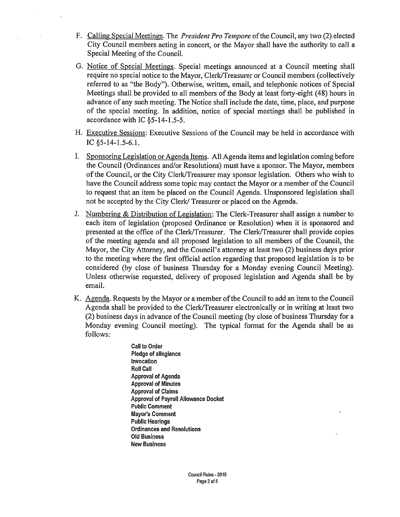- F. Calling Special Meetings. The *President Pro Tempore* ofthe Council, any two (2) elected City Council members acting in concert, or the Mayor shall have the authority to call a Special Meeting of the Council.
- G. Notice of Special Meetings. Special meetings announced at a Council meeting shall require no special notice to the Mayor, Clerk/Treasurer or Council members (collectively referred to as "the Body"). Otherwise, written, email, and telephonic notices of Special Meetings shall be provided to all members of the Body at least forty-eight (48) hours in advance of any such meeting. The Notice shall include the date, time, place, and purpose of the special meeting. In addition, notice of special meetings shall be published in accordance with IC §5-14-1.5-5.
- H. Executive Sessions: Executive Sessions of the Council may be held in accordance with IC §5-14-1.5-6.1.
- I. Sponsoring Legislation or Agenda Items. All Agenda items and legislation coming before the Council (Ordinances and/or Resolutions) must have a sponsor. The Mayor, members of the Council, or the City Clerk/Treasurer may sponsor legislation. Others who wish to have the Council address some topic may contact the Mayor or a member of the Council to request that an item be placed on the Council Agenda. Unsponsored legislation shall not be accepted by the City Clerk/ Treasurer or placed on the Agenda.
- J. Numbering & Distribution of Legislation: The Clerk-Treasurer shall assign a number to each item of legislation (proposed Ordinance or Resolution) when it is sponsored and presented at the office of the Clerk/Treasurer. The Clerk/Treasurer shall provide copies of the meeting agenda and all proposed legislation to all members of the Council, the Mayor, the City Attorney, and the Council's attorney at least two (2) business days prior to the meeting where the first official action regarding that proposed legislation is to be considered (by close of business Thursday for a Monday evening Council Meeting). Unless otherwise requested, delivery of proposed legislation and Agenda shall be by email.
- K. Agenda. Requests by the Mayor or a member ofthe Council to add an item to the Council Agenda shall be provided to the Clerk/Treasurer electronically or in writing at least two (2) business days in advance of the Council meeting (by close of business Thursday for a Monday evening Council meeting). The typical format for the Agenda shall be as follows:
	- Call to Order Pledge of allegiance Invocation Roll Call Approval of Agenda Approval of Minutes Approval of Claims Approval of Payroll Allowance Docket Public Comment Mayor's Comment ' Public Hearings Ordinances and Resolutions Old Business ' New Business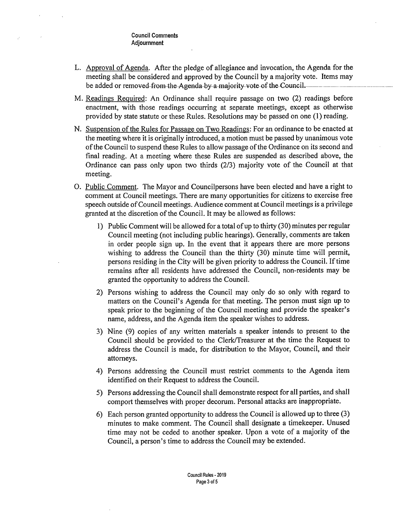## Council Comments Adjournment

- L. Approval of Agenda. After the pledge of allegiance and invocation, the Agenda for the meeting shall be considered and approved by the Council by a majority vote. Items may be added or removed from the Agenda-by-a-majority-vote-of the Council.
- M. Readings Required: An Ordinance shall require passage on two (2) readings before enactment, with those readings occurring at separate meetings, except as otherwise provided by state statute or these Rules. Resolutions may be passed on one (1) reading.
- N. Suspension of the Rules for Passage on Two Readings: For an ordinance to be enacted at the meeting where it is originally introduced, a motion must be passed by unanimous vote of the Council to suspend these Rules to allow passage of the Ordinance on its second and final reading. At a meeting where these Rules are suspended as described above, the Ordinance can pass only upon two thirds (2/3) majority vote of the Council at that meeting.
- *O.* Public Comment. The Mayor and Councilpersons have been elected and have a right to comment at Council meetings. There are many opportunities for citizens to exercise free speech outside of Council meetings. Audience comment at Council meetings is a privilege granted at the discretion of the Council. It may be allowed as follows:
	- 1) Public Comment will be allowed for a total of up to thirty (30) minutes per regular Council meeting (not including public hearings). Generally, comments are taken in order people sign up. In the event that it appears there are more persons wishing to address the Council than the thirty (30) minute time will permit, persons residing in the City will be given priority to address the Council. Iftime remains after all residents have addressed the Council, non-residents may be granted the opportunity to address the Council.
	- 2) Persons wishing to address the Council may only do so only with regard to matters on the Council's Agenda for that meeting. The person must sign up to speak prior to the beginning of the Council meeting and provide the speaker's name, address, and the Agenda item the speaker wishes to address.
	- 3) Nine (9) copies of any written materials a speaker intends to present to the Council should be provided to the Clerk/Treasurer at the time the Request to address the Council is made, for distribution to the Mayor, Council, and their attorneys.
	- 4) Persons addressing the Council must restrict comments to the Agenda item identified on their Request to address the Council.
	- 5) Persons addressing the Council shall demonstrate respect for all parties, and shall comport themselves with proper decorum. Personal attacks are inappropriate.
	- 6) Each person granted opportunity to address the Council is allowed up to three (3) minutes to make comment. The Council shall designate a timekeeper. Unused time may not be ceded to another speaker. Upon a vote of a majority of the Council, a person's time to address the Council may be extended.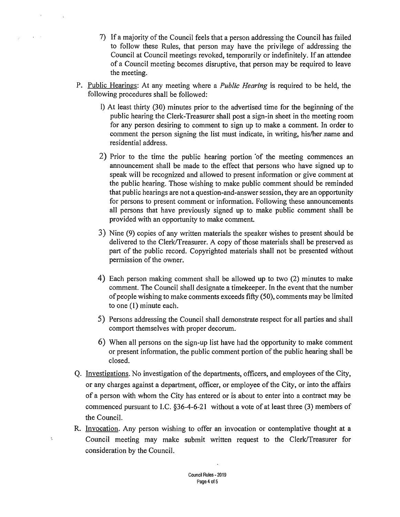- 7) If a majority ofthe Council feels that a person addressing the Council has failed to follow these Rules, that person may have the privilege of addressing the Council at Council meetings revoked, temporarily or indefinitely. If an attendee of a Council meeting becomes disruptive, that person may be required to leave the meeting.
- P. Public Hearings: At any meeting where a *Public Hearing* is required to be held, the following procedures shall be followed:
	- 1) At least thirty (30) minutes prior to the advertised time for the beginning of the public hearing the Clerk-Treasurer shall post a sign-in sheet in the meeting room for any person desiring to comment to sign up to make a comment. In order to comment the person signing the list must indicate, in writing, his/her name and residential address.
	- 2) Prior to the time the public hearing portion of the meeting commences an announcement shall be made to the effect that persons who have signed up to speak will be recognized and allowed to present information or give comment at the public hearing. Those wishing to make public comment should be reminded that public hearings are not a question-and-answer session, they are an opportunity for persons to present comment or information. Following these announcements all persons that have previously signed up to make public comment shall be provided with an opportunity to make comment.
	- 3) Nine (9) copies of any written materials the speaker wishes to present should be delivered to the Clerk/Treasurer. A copy of those materials shall be preserved as part of the public record. Copyrighted materials shall not be presented without permission of the owner.
	- 4) Each person making comment shall be allowed up to two (2) minutes to make comment. The Council shall designate a timekeeper. In the event that the number of people wishing to make comments exceeds fifty (50), comments may be limited to one (1) minute each.
	- 5) Persons addressing the Council shall demonstrate respect for all parties and shall comport themselves with proper decorum.
	- 6) When all persons on the sign-up list have had the opportunity to make comment or present information, the public comment portion of the public hearing shall be closed.
- Q. Investigations. No investigation of the departments, officers, and employees of the City, or any charges against a department, officer, or employee of the City, or into the affairs of a person with whom the City has entered or is about to enter into a contract may be commenced pursuant to I.C. §36-4-6-21 without a vote of at least three (3) members of the Council.
- R. Invocation. Any person wishing to offer an invocation or contemplative thought at a Council meeting may make submit written request to the Clerk/Treasurer for consideration by the Council.

÷